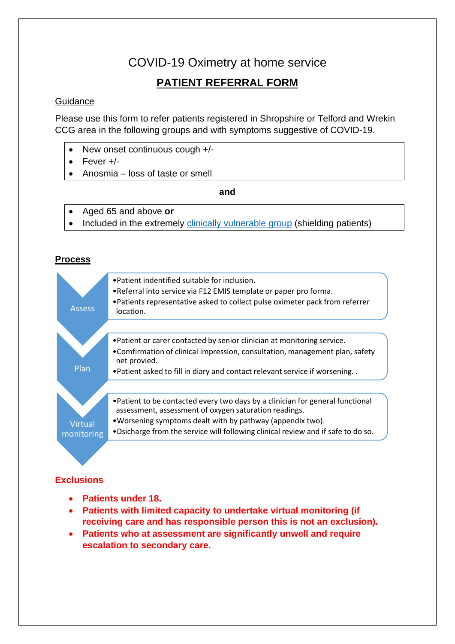# COVID-19 Oximetry at home service

# **PATIENT REFERRAL FORM**

### **Guidance**

Please use this form to refer patients registered in Shropshire or Telford and Wrekin CCG area in the following groups and with symptoms suggestive of COVID-19.

- New onset continuous cough +/-
- Fever +/-
- Anosmia loss of taste or smell

**and**

- Aged 65 and above **or**
- Included in the extremely [clinically vulnerable group](https://www.gov.uk/government/publications/guidance-on-shielding-and-protecting-extremely-vulnerable-persons-from-covid-19/guidance-on-shielding-and-protecting-extremely-vulnerable-persons-from-covid-19#cev) (shielding patients)

### **Process**

| <b>Assess</b> | . Patient indentified suitable for inclusion.<br>• Referral into service via F12 EMIS template or paper pro forma.<br>• Patients representative asked to collect pulse oximeter pack from referrer<br>location. |
|---------------|-----------------------------------------------------------------------------------------------------------------------------------------------------------------------------------------------------------------|
|               |                                                                                                                                                                                                                 |
|               | . Patient or carer contacted by senior clinician at monitoring service.                                                                                                                                         |
|               | • Comfirmation of clinical impression, consultation, management plan, safety<br>net provied.                                                                                                                    |
| <b>Plan</b>   | . Patient asked to fill in diary and contact relevant service if worsening. .                                                                                                                                   |
|               |                                                                                                                                                                                                                 |
|               | • Patient to be contacted every two days by a clinician for general functional<br>assessment, assessment of oxygen saturation readings.                                                                         |
| Virtual       | • Worsening symptoms dealt with by pathway (appendix two).                                                                                                                                                      |
| monitoring    | . Dsicharge from the service will following clinical review and if safe to do so.                                                                                                                               |
|               |                                                                                                                                                                                                                 |

# **Exclusions**

- **Patients under 18.**
- **Patients with limited capacity to undertake virtual monitoring (if receiving care and has responsible person this is not an exclusion).**
- **Patients who at assessment are significantly unwell and require escalation to secondary care.**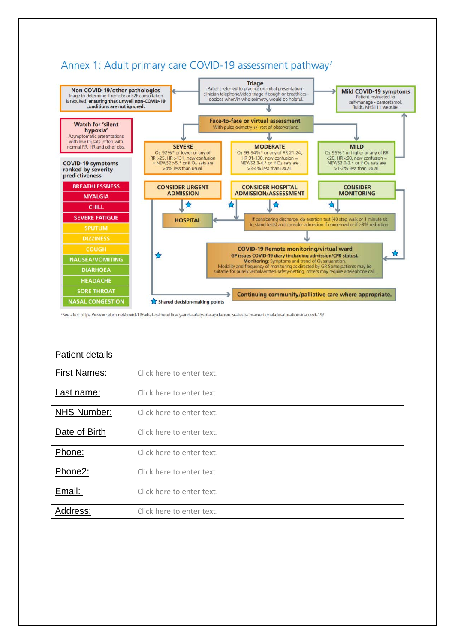



7See also: https://www.cebm.net/covid-19/what-is-the-efficacy-and-safety-of-rapid-exercise-tests-for-exertional-desaturation-in-covid-19/

### Patient details

| <b>First Names:</b> | Click here to enter text. |
|---------------------|---------------------------|
| Last name:          | Click here to enter text. |
| <b>NHS Number:</b>  | Click here to enter text. |
| Date of Birth       | Click here to enter text. |
|                     |                           |
| Phone:              | Click here to enter text. |
| Phone <sub>2:</sub> | Click here to enter text. |
| Email:              | Click here to enter text. |
| Address:            | Click here to enter text. |